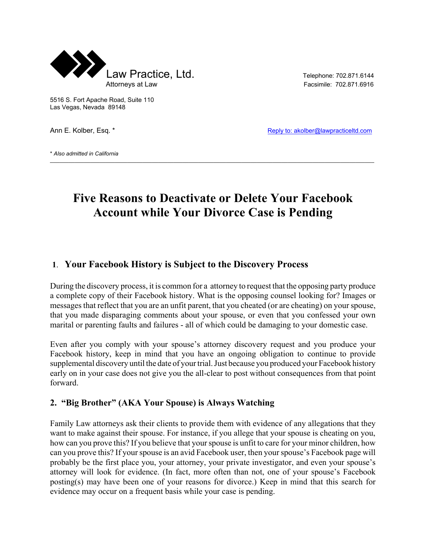

5516 S. Fort Apache Road, Suite 110 Las Vegas, Nevada 89148

Ann E. Kolber, Esq. \* The Collection of the Collection of the Reply to: akolber@lawpracticeltd.com

\* *Also admitted in California*

# **Five Reasons to Deactivate or Delete Your Facebook Account while Your Divorce Case is Pending**

 $\mathcal{L}_\mathcal{L} = \mathcal{L}_\mathcal{L} = \mathcal{L}_\mathcal{L} = \mathcal{L}_\mathcal{L} = \mathcal{L}_\mathcal{L} = \mathcal{L}_\mathcal{L} = \mathcal{L}_\mathcal{L} = \mathcal{L}_\mathcal{L} = \mathcal{L}_\mathcal{L} = \mathcal{L}_\mathcal{L} = \mathcal{L}_\mathcal{L} = \mathcal{L}_\mathcal{L} = \mathcal{L}_\mathcal{L} = \mathcal{L}_\mathcal{L} = \mathcal{L}_\mathcal{L} = \mathcal{L}_\mathcal{L} = \mathcal{L}_\mathcal{L}$ 

#### **1**. **Your Facebook History is Subject to the Discovery Process**

During the discovery process, it is common for a attorney to request that the opposing party produce a complete copy of their Facebook history. What is the opposing counsel looking for? Images or messages that reflect that you are an unfit parent, that you cheated (or are cheating) on your spouse, that you made disparaging comments about your spouse, or even that you confessed your own marital or parenting faults and failures - all of which could be damaging to your domestic case.

Even after you comply with your spouse's attorney discovery request and you produce your Facebook history, keep in mind that you have an ongoing obligation to continue to provide supplemental discovery until the date of your trial. Just because you produced your Facebook history early on in your case does not give you the all-clear to post without consequences from that point forward.

#### **2. "Big Brother" (AKA Your Spouse) is Always Watching**

Family Law attorneys ask their clients to provide them with evidence of any allegations that they want to make against their spouse. For instance, if you allege that your spouse is cheating on you, how can you prove this? If you believe that your spouse is unfit to care for your minor children, how can you prove this? If your spouse is an avid Facebook user, then your spouse's Facebook page will probably be the first place you, your attorney, your private investigator, and even your spouse's attorney will look for evidence. (In fact, more often than not, one of your spouse's Facebook posting(s) may have been one of your reasons for divorce.) Keep in mind that this search for evidence may occur on a frequent basis while your case is pending.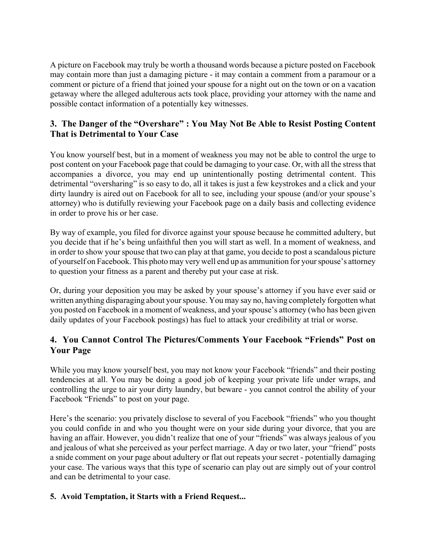A picture on Facebook may truly be worth a thousand words because a picture posted on Facebook may contain more than just a damaging picture - it may contain a comment from a paramour or a comment or picture of a friend that joined your spouse for a night out on the town or on a vacation getaway where the alleged adulterous acts took place, providing your attorney with the name and possible contact information of a potentially key witnesses.

# **3. The Danger of the "Overshare" : You May Not Be Able to Resist Posting Content That is Detrimental to Your Case**

You know yourself best, but in a moment of weakness you may not be able to control the urge to post content on your Facebook page that could be damaging to your case. Or, with all the stress that accompanies a divorce, you may end up unintentionally posting detrimental content. This detrimental "oversharing" is so easy to do, all it takes is just a few keystrokes and a click and your dirty laundry is aired out on Facebook for all to see, including your spouse (and/or your spouse's attorney) who is dutifully reviewing your Facebook page on a daily basis and collecting evidence in order to prove his or her case.

By way of example, you filed for divorce against your spouse because he committed adultery, but you decide that if he's being unfaithful then you will start as well. In a moment of weakness, and in order to show your spouse that two can play at that game, you decide to post a scandalous picture of yourself on Facebook. This photo may very well end up as ammunition for your spouse's attorney to question your fitness as a parent and thereby put your case at risk.

Or, during your deposition you may be asked by your spouse's attorney if you have ever said or written anything disparaging about your spouse. You may say no, having completely forgotten what you posted on Facebook in a moment of weakness, and your spouse's attorney (who has been given daily updates of your Facebook postings) has fuel to attack your credibility at trial or worse.

# **4. You Cannot Control The Pictures/Comments Your Facebook "Friends" Post on Your Page**

While you may know yourself best, you may not know your Facebook "friends" and their posting tendencies at all. You may be doing a good job of keeping your private life under wraps, and controlling the urge to air your dirty laundry, but beware - you cannot control the ability of your Facebook "Friends" to post on your page.

Here's the scenario: you privately disclose to several of you Facebook "friends" who you thought you could confide in and who you thought were on your side during your divorce, that you are having an affair. However, you didn't realize that one of your "friends" was always jealous of you and jealous of what she perceived as your perfect marriage. A day or two later, your "friend" posts a snide comment on your page about adultery or flat out repeats your secret - potentially damaging your case. The various ways that this type of scenario can play out are simply out of your control and can be detrimental to your case.

## **5. Avoid Temptation, it Starts with a Friend Request...**